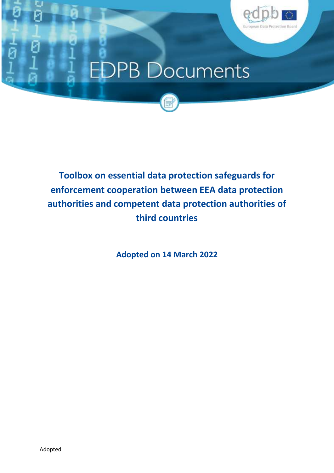

# **EDPB Documents**



**Adopted on 14 March 2022**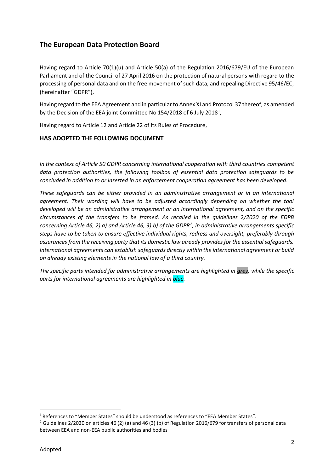## **The European Data Protection Board**

Having regard to Article 70(1)(u) and Article 50(a) of the Regulation 2016/679/EU of the European Parliament and of the Council of 27 April 2016 on the protection of natural persons with regard to the processing of personal data and on the free movement of such data, and repealing Directive 95/46/EC, (hereinafter "GDPR"),

Having regard to the EEA Agreement and in particular to Annex XI and Protocol 37 thereof, as amended by the Decision of the EEA joint Committee No 154/2018 of 6 July 2018<sup>1</sup>,

Having regard to Article 12 and Article 22 of its Rules of Procedure,

#### **HAS ADOPTED THE FOLLOWING DOCUMENT**

*In the context of Article 50 GDPR concerning international cooperation with third countries competent data protection authorities, the following toolbox of essential data protection safeguards to be concluded in addition to or inserted in an enforcement cooperation agreement has been developed.*

*These safeguards can be either provided in an administrative arrangement or in an international agreement. Their wording will have to be adjusted accordingly depending on whether the tool developed will be an administrative arrangement or an international agreement, and on the specific circumstances of the transfers to be framed. As recalled in the guidelines 2/2020 of the EDPB concerning Article 46, 2) a) and Article 46, 3) b) of the GDPR<sup>2</sup> , in administrative arrangements specific steps have to be taken to ensure effective individual rights, redress and oversight, preferably through assurances from the receiving party that its domestic law already provides for the essential safeguards. International agreements can establish safeguards directly within the international agreement or build on already existing elements in the national law of a third country.*

*The specific parts intended for administrative arrangements are highlighted in grey, while the specific parts for international agreements are highlighted in blue.*

<sup>&</sup>lt;sup>1</sup> References to "Member States" should be understood as references to "EEA Member States".

<sup>&</sup>lt;sup>2</sup> Guidelines 2/2020 on articles 46 (2) (a) and 46 (3) (b) of Regulation 2016/679 for transfers of personal data between EEA and non-EEA public authorities and bodies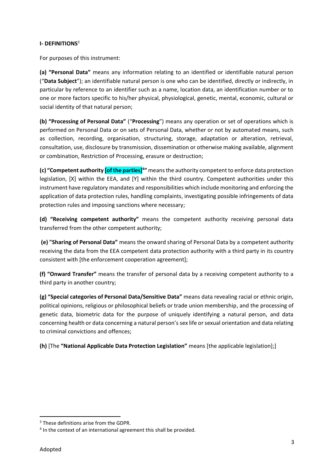#### **I- DEFINITIONS**<sup>3</sup>

For purposes of this instrument:

**(a) "Personal Data"** means any information relating to an identified or identifiable natural person ("**Data Subject**"); an identifiable natural person is one who can be identified, directly or indirectly, in particular by reference to an identifier such as a name, location data, an identification number or to one or more factors specific to his/her physical, physiological, genetic, mental, economic, cultural or social identity of that natural person;

**(b) "Processing of Personal Data"** ("**Processing**") means any operation or set of operations which is performed on Personal Data or on sets of Personal Data, whether or not by automated means, such as collection, recording, organisation, structuring, storage, adaptation or alteration, retrieval, consultation, use, disclosure by transmission, dissemination or otherwise making available, alignment or combination, Restriction of Processing, erasure or destruction;

**(c) "Competent authority [of the parties]<sup>4</sup> "** means the authority competent to enforce data protection legislation, [X] within the EEA, and [Y] within the third country. Competent authorities under this instrument have regulatory mandates and responsibilities which include monitoring and enforcing the application of data protection rules, handling complaints, investigating possible infringements of data protection rules and imposing sanctions where necessary;

**(d) "Receiving competent authority"** means the competent authority receiving personal data transferred from the other competent authority;

**(e) "Sharing of Personal Data"** means the onward sharing of Personal Data by a competent authority receiving the data from the EEA competent data protection authority with a third party in its country consistent with [the enforcement cooperation agreement];

**(f) "Onward Transfer"** means the transfer of personal data by a receiving competent authority to a third party in another country;

**(g) "Special categories of Personal Data/Sensitive Data"** means data revealing racial or ethnic origin, political opinions, religious or philosophical beliefs or trade union membership, and the processing of genetic data, biometric data for the purpose of uniquely identifying a natural person, and data concerning health or data concerning a natural person's sex life or sexual orientation and data relating to criminal convictions and offences;

**(h)** [The **"National Applicable Data Protection Legislation"** means [the applicable legislation];]

<sup>&</sup>lt;sup>3</sup> These definitions arise from the GDPR.

<sup>&</sup>lt;sup>4</sup> In the context of an international agreement this shall be provided.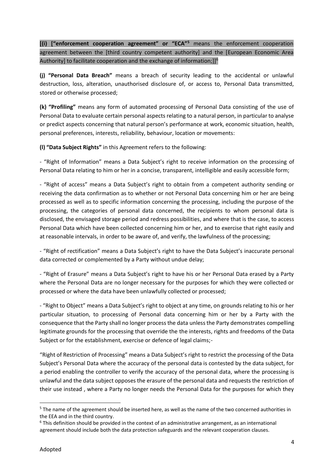**[(i) ["enforcement cooperation agreement" or "ECA"<sup>5</sup>** means the enforcement cooperation agreement between the [third country competent authority] and the [European Economic Area Authority] to facilitate cooperation and the exchange of information;]]<sup>6</sup>

**(j) "Personal Data Breach"** means a breach of security leading to the accidental or unlawful destruction, loss, alteration, unauthorised disclosure of, or access to, Personal Data transmitted, stored or otherwise processed;

**(k) "Profiling"** means any form of automated processing of Personal Data consisting of the use of Personal Data to evaluate certain personal aspects relating to a natural person, in particular to analyse or predict aspects concerning that natural person's performance at work, economic situation, health, personal preferences, interests, reliability, behaviour, location or movements:

**(l) "Data Subject Rights"** in this Agreement refers to the following:

- "Right of Information" means a Data Subject's right to receive information on the processing of Personal Data relating to him or her in a concise, transparent, intelligible and easily accessible form;

- "Right of access" means a Data Subject's right to obtain from a competent authority sending or receiving the data confirmation as to whether or not Personal Data concerning him or her are being processed as well as to specific information concerning the processing, including the purpose of the processing, the categories of personal data concerned, the recipients to whom personal data is disclosed, the envisaged storage period and redress possibilities, and where that is the case, to access Personal Data which have been collected concerning him or her, and to exercise that right easily and at reasonable intervals, in order to be aware of, and verify, the lawfulness of the processing;

- "Right of rectification" means a Data Subject's right to have the Data Subject's inaccurate personal data corrected or complemented by a Party without undue delay;

- "Right of Erasure" means a Data Subject's right to have his or her Personal Data erased by a Party where the Personal Data are no longer necessary for the purposes for which they were collected or processed or where the data have been unlawfully collected or processed;

- "Right to Object" means a Data Subject's right to object at any time, on grounds relating to his or her particular situation, to processing of Personal data concerning him or her by a Party with the consequence that the Party shall no longer process the data unless the Party demonstrates compelling legitimate grounds for the processing that override the the interests, rights and freedoms of the Data Subject or for the establishment, exercise or defence of legal claims;-

"Right of Restriction of Processing" means a Data Subject's right to restrict the processing of the Data Subject's Personal Data where the accuracy of the personal data is contested by the data subject, for a period enabling the controller to verify the accuracy of the personal data, where the processing is unlawful and the data subject opposes the erasure of the personal data and requests the restriction of their use instead , where a Party no longer needs the Personal Data for the purposes for which they

<sup>5</sup> The name of the agreement should be inserted here, as well as the name of the two concerned authorities in the EEA and in the third country.

<sup>6</sup> This definition should be provided in the context of an administrative arrangement, as an international agreement should include both the data protection safeguards and the relevant cooperation clauses.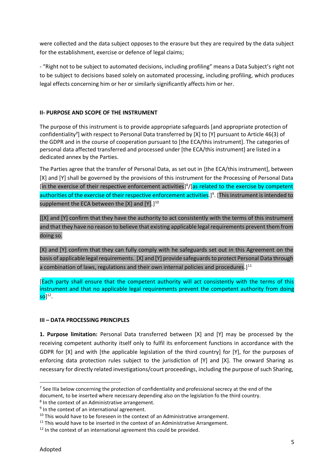were collected and the data subject opposes to the erasure but they are required by the data subject for the establishment, exercise or defence of legal claims;

- "Right not to be subject to automated decisions, including profiling" means a Data Subject's right not to be subject to decisions based solely on automated processing, including profiling, which produces legal effects concerning him or her or similarly significantly affects him or her.

#### **II- PURPOSE AND SCOPE OF THE INSTRUMENT**

The purpose of this instrument is to provide appropriate safeguards [and appropriate protection of confidentiality<sup>7</sup>] with respect to Personal Data transferred by [X] to [Y] pursuant to Article 46(3) of the GDPR and in the course of cooperation pursuant to [the ECA/this instrument]. The categories of personal data affected transferred and processed under [the ECA/this instrument] are listed in a dedicated annex by the Parties.

The Parties agree that the transfer of Personal Data, as set out in [the ECA/this instrument], between [X] and [Y] shall be governed by the provisions of this instrument for the Processing of Personal Data [in the exercise of their respective enforcement activities]<sup>8</sup>/[as related to the exercise by competent authorities of the exercise of their respective enforcement activities.]<sup>9</sup>. [This instrument is intended to supplement the ECA between the [X] and [Y].]<sup>10</sup>

[[X] and [Y] confirm that they have the authority to act consistently with the terms of this instrument and that they have no reason to believe that existing applicable legal requirements prevent them from doing so.

[X) and [Y] confirm that they can fully comply with he safeguards set out in this Agreement on the basis of applicable legal requirements. [X] and [Y] provide safeguards to protect Personal Data through a combination of laws, regulations and their own internal policies and procedures.]<sup>11</sup>

[Each party shall ensure that the competent authority will act consistently with the terms of this instrument and that no applicable legal requirements prevent the competent authority from doing  $\mathsf{so} \rbrack^{12}.$ 

#### **III – DATA PROCESSING PRINCIPLES**

**1. Purpose limitation:** Personal Data transferred between [X] and [Y] may be processed by the receiving competent authority itself only to fulfil its enforcement functions in accordance with the GDPR for [X] and with [the applicable legislation of the third country] for [Y], for the purposes of enforcing data protection rules subject to the jurisdiction of [Y] and [X]. The onward Sharing as necessary for directly related investigations/court proceedings, including the purpose of such Sharing,

 $<sup>7</sup>$  See IIIa below concerning the protection of confidentiality and professional secrecy at the end of the</sup> document, to be inserted where necessary depending also on the legislation fo the third country.

<sup>&</sup>lt;sup>8</sup> In the context of an Administrative arrangement.

<sup>&</sup>lt;sup>9</sup> In the context of an international agreement.

 $10$  This would have to be foreseen in the context of an Administrative arrangement.

 $11$  This would have to be inserted in the context of an Administrative Arrangement.

 $12$  In the context of an international agreement this could be provided.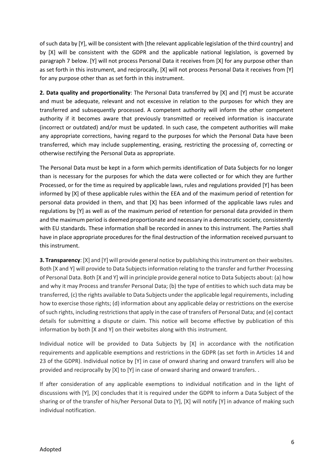of such data by [Y], will be consistent with [the relevant applicable legislation of the third country] and by [X] will be consistent with the GDPR and the applicable national legislation, is governed by paragraph 7 below. [Y] will not process Personal Data it receives from [X] for any purpose other than as set forth in this instrument, and reciprocally, [X] will not process Personal Data it receives from [Y] for any purpose other than as set forth in this instrument.

**2. Data quality and proportionality**: The Personal Data transferred by [X] and [Y] must be accurate and must be adequate, relevant and not excessive in relation to the purposes for which they are transferred and subsequently processed. A competent authority will inform the other competent authority if it becomes aware that previously transmitted or received information is inaccurate (incorrect or outdated) and/or must be updated. In such case, the competent authorities will make any appropriate corrections, having regard to the purposes for which the Personal Data have been transferred, which may include supplementing, erasing, restricting the processing of, correcting or otherwise rectifying the Personal Data as appropriate.

The Personal Data must be kept in a form which permits identification of Data Subjects for no longer than is necessary for the purposes for which the data were collected or for which they are further Processed, or for the time as required by applicable laws, rules and regulations provided [Y] has been informed by [X] of these applicable rules within the EEA and of the maximum period of retention for personal data provided in them, and that [X] has been informed of the applicable laws rules and regulations by [Y] as well as of the maximum period of retention for personal data provided in them and the maximum period is deemed proportionate and necessary in a democratic society, consistently with EU standards. These information shall be recorded in annex to this instrument. The Parties shall have in place appropriate procedures for the final destruction of the information received pursuant to this instrument.

**3. Transparency**: [X] and [Y] will provide general notice by publishing this instrument on their websites. Both [X and Y] will provide to Data Subjects information relating to the transfer and further Processing of Personal Data. Both [X and Y] will in principle provide general notice to Data Subjects about: (a) how and why it may Process and transfer Personal Data; (b) the type of entities to which such data may be transferred, (c) the rights available to Data Subjects under the applicable legal requirements, including how to exercise those rights; (d) information about any applicable delay or restrictions on the exercise of such rights, including restrictions that apply in the case of transfers of Personal Data; and (e) contact details for submitting a dispute or claim. This notice will become effective by publication of this information by both [X and Y] on their websites along with this instrument.

Individual notice will be provided to Data Subjects by [X] in accordance with the notification requirements and applicable exemptions and restrictions in the GDPR (as set forth in Articles 14 and 23 of the GDPR). Individual notice by [Y] in case of onward sharing and onward transfers will also be provided and reciprocally by [X] to [Y] in case of onward sharing and onward transfers. .

If after consideration of any applicable exemptions to individual notification and in the light of discussions with [Y], [X] concludes that it is required under the GDPR to inform a Data Subject of the sharing or of the transfer of his/her Personal Data to [Y], [X] will notify [Y] in advance of making such individual notification.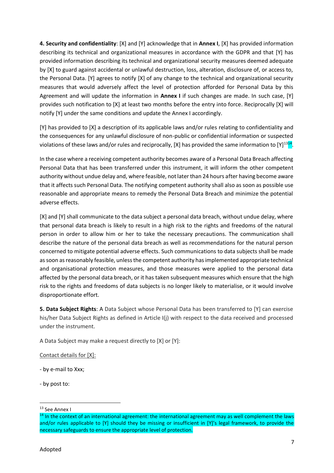**4. Security and confidentiality**: [X] and [Y] acknowledge that in **Annex I**, [X] has provided information describing its technical and organizational measures in accordance with the GDPR and that [Y] has provided information describing its technical and organizational security measures deemed adequate by [X] to guard against accidental or unlawful destruction, loss, alteration, disclosure of, or access to, the Personal Data. [Y] agrees to notify [X] of any change to the technical and organizational security measures that would adversely affect the level of protection afforded for Personal Data by this Agreement and will update the information in **Annex I** if such changes are made. In such case, [Y] provides such notification to [X] at least two months before the entry into force. Reciprocally [X] will notify [Y] under the same conditions and update the Annex I accordingly.

[Y] has provided to [X] a description of its applicable laws and/or rules relating to confidentiality and the consequences for any unlawful disclosure of non-public or confidential information or suspected violations of these laws and/or rules and reciprocally, [X] has provided the same information to [Y]<sup>1314</sup>.

In the case where a receiving competent authority becomes aware of a Personal Data Breach affecting Personal Data that has been transferred under this instrument, it will inform the other competent authority without undue delay and, where feasible, not later than 24 hours after having become aware that it affects such Personal Data. The notifying competent authority shall also as soon as possible use reasonable and appropriate means to remedy the Personal Data Breach and minimize the potential adverse effects.

[X] and [Y] shall communicate to the data subject a personal data breach, without undue delay, where that personal data breach is likely to result in a high risk to the rights and freedoms of the natural person in order to allow him or her to take the necessary precautions. The communication shall describe the nature of the personal data breach as well as recommendations for the natural person concerned to mitigate potential adverse effects. Such communications to data subjects shall be made as soon as reasonably feasible, unless the competent authority has implemented appropriate technical and organisational protection measures, and those measures were applied to the personal data affected by the personal data breach, or it has taken subsequent measures which ensure that the high risk to the rights and freedoms of data subjects is no longer likely to materialise, or it would involve disproportionate effort.

**5. Data Subject Rights**: A Data Subject whose Personal Data has been transferred to [Y] can exercise his/her Data Subject Rights as defined in Article I(j) with respect to the data received and processed under the instrument.

A Data Subject may make a request directly to [X] or [Y]:

Contact details for [X]:

- by e-mail to Xxx;

- by post to:

<sup>&</sup>lt;sup>13</sup> See Annex I

<sup>&</sup>lt;sup>14</sup> In the context of an international agreement: the international agreement may as well complement the laws and/or rules applicable to [Y] should they be missing or insufficient in [Y]'s legal framework, to provide the necessary safeguards to ensure the appropriate level of protection.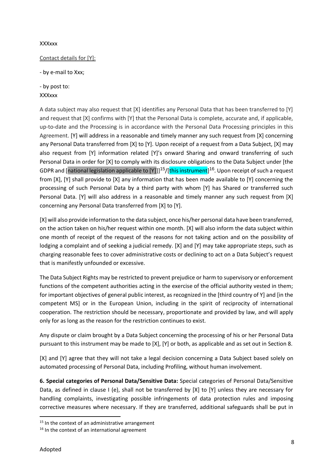#### **XXXxxx**

#### Contact details for [Y]:

- by e-mail to Xxx;

- by post to: XXXxxx

A data subject may also request that [X] identifies any Personal Data that has been transferred to [Y] and request that [X] confirms with [Y] that the Personal Data is complete, accurate and, if applicable, up-to-date and the Processing is in accordance with the Personal Data Processing principles in this Agreement. [Y] will address in a reasonable and timely manner any such request from [X] concerning any Personal Data transferred from [X] to [Y]. Upon receipt of a request from a Data Subject, [X] may also request from [Y] information related [Y]'s onward Sharing and onward transferring of such Personal Data in order for [X] to comply with its disclosure obligations to the Data Subject under [the GDPR and [national legislation applicable to [Y]]]<sup>15</sup>/[this instrument]<sup>16</sup>. Upon receipt of such a request from [X], [Y] shall provide to [X] any information that has been made available to [Y] concerning the processing of such Personal Data by a third party with whom [Y] has Shared or transferred such Personal Data. [Y] will also address in a reasonable and timely manner any such request from [X] concerning any Personal Data transferred from [X] to [Y].

[X] will also provide information to the data subject, once his/her personal data have been transferred, on the action taken on his/her request within one month. [X] will also inform the data subject within one month of receipt of the request of the reasons for not taking action and on the possibility of lodging a complaint and of seeking a judicial remedy. [X] and [Y] may take appropriate steps, such as charging reasonable fees to cover administrative costs or declining to act on a Data Subject's request that is manifestly unfounded or excessive.

The Data Subject Rights may be restricted to prevent prejudice or harm to supervisory or enforcement functions of the competent authorities acting in the exercise of the official authority vested in them; for important objectives of general public interest, as recognized in the [third country of Y] and [in the competent MS] or in the European Union, including in the spirit of reciprocity of international cooperation. The restriction should be necessary, proportionate and provided by law, and will apply only for as long as the reason for the restriction continues to exist.

Any dispute or claim brought by a Data Subject concerning the processing of his or her Personal Data pursuant to this instrument may be made to [X], [Y] or both, as applicable and as set out in Section 8.

[X] and [Y] agree that they will not take a legal decision concerning a Data Subject based solely on automated processing of Personal Data, including Profiling, without human involvement.

**6. Special categories of Personal Data/Sensitive Data:** Special categories of Personal Data/Sensitive Data, as defined in clause I (e), shall not be transferred by [X] to [Y] unless they are necessary for handling complaints, investigating possible infringements of data protection rules and imposing corrective measures where necessary. If they are transferred, additional safeguards shall be put in

<sup>&</sup>lt;sup>15</sup> In the context of an administrative arrangement

 $16$  In the context of an international agreement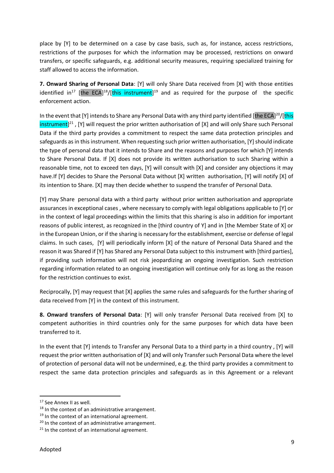place by [Y] to be determined on a case by case basis, such as, for instance, access restrictions, restrictions of the purposes for which the information may be processed, restrictions on onward transfers, or specific safeguards, e.g. additional security measures, requiring specialized training for staff allowed to access the information.

**7. Onward Sharing of Personal Data**: [Y] will only Share Data received from [X] with those entities identified in<sup>17</sup> [the ECA]<sup>18</sup>/[this instrument]<sup>19</sup> and as required for the purpose of the specific enforcement action.

In the event that [Y] intends to Share any Personal Data with any third party identified [the ECA]<sup>20</sup>/[this instrument]<sup>21</sup>, [Y] will request the prior written authorisation of [X] and will only Share such Personal Data if the third party provides a commitment to respect the same data protection principles and safeguards as in this instrument. When requesting such prior written authorisation, [Y] should indicate the type of personal data that it intends to Share and the reasons and purposes for which [Y] intends to Share Personal Data. If [X] does not provide its written authorisation to such Sharing within a reasonable time, not to exceed ten days, [Y] will consult with [X] and consider any objections it may have.If [Y] decides to Share the Personal Data without [X] written authorisation, [Y] will notify [X] of its intention to Share. [X] may then decide whether to suspend the transfer of Personal Data.

[Y] may Share personal data with a third party without prior written authorisation and appropriate assurances in exceptional cases , where necessary to comply with legal obligations applicable to [Y] or in the context of legal proceedings within the limits that this sharing is also in addition for important reasons of public interest, as recognized in the [third country of Y] and in [the Member State of X] or in the European Union, or if the sharing is necessary for the establishment, exercise or defense of legal claims. In such cases, [Y] will periodically inform [X] of the nature of Personal Data Shared and the reason it was Shared if [Y] has Shared any Personal Data subject to this instrument with [third parties], if providing such information will not risk jeopardizing an ongoing investigation. Such restriction regarding information related to an ongoing investigation will continue only for as long as the reason for the restriction continues to exist.

Reciprocally, [Y] may request that [X] applies the same rules and safeguards for the further sharing of data received from [Y] in the context of this instrument.

**8. Onward transfers of Personal Data**: [Y] will only transfer Personal Data received from [X] to competent authorities in third countries only for the same purposes for which data have been transferred to it.

In the event that [Y] intends to Transfer any Personal Data to a third party in a third country , [Y] will request the prior written authorisation of [X] and will only Transfer such Personal Data where the level of protection of personal data will not be undermined, e.g. the third party provides a commitment to respect the same data protection principles and safeguards as in this Agreement or a relevant

<sup>&</sup>lt;sup>17</sup> See Annex II as well.

<sup>&</sup>lt;sup>18</sup> In the context of an administrative arrangement.

 $19$  In the context of an international agreement.

<sup>&</sup>lt;sup>20</sup> In the context of an administrative arrangement.

 $21$  In the context of an international agreement.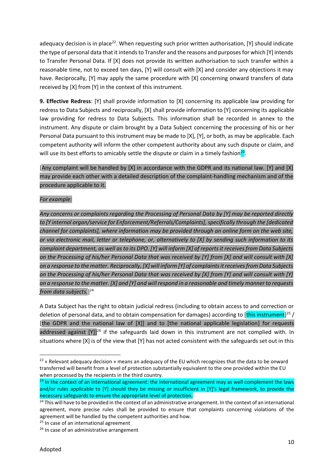adequacy decision is in place<sup>22</sup>. When requesting such prior written authorisation, [Y] should indicate the type of personal data that it intends to Transfer and the reasons and purposes for which [Y] intends to Transfer Personal Data. If [X] does not provide its written authorisation to such transfer within a reasonable time, not to exceed ten days, [Y] will consult with [X] and consider any objections it may have. Reciprocally, [Y] may apply the same procedure with [X] concerning onward transfers of data received by [X] from [Y] in the context of this instrument.

**9. Effective Redress**: [Y] shall provide information to [X] concerning its applicable law providing for redress to Data Subjects and reciprocally, [X] shall provide information to [Y] concerning its applicable law providing for redress to Data Subjects. This information shall be recorded in annex to the instrument. Any dispute or claim brought by a Data Subject concerning the processing of his or her Personal Data pursuant to this instrument may be made to [X], [Y], or both, as may be applicable. Each competent authority will inform the other competent authority about any such dispute or claim, and will use its best efforts to amicably settle the dispute or claim in a timely fashion<sup>23</sup>.

## [Any complaint will be handled by [X] in accordance with the GDPR and its national law. [Y] and [X] may provide each other with a detailed description of the complaint-handling mechanism and of the procedure applicable to it.

#### *For example:*

*Any concerns or complaints regarding the Processing of Personal Data by [Y] may be reported directly to [Y internal organ/service for Enforcement/Referrals/Complaints], specifically through the [dedicated channel for complaints], where information may be provided through an online form on the web site, or via electronic mail, letter or telephone, or, alternatively to [X] by sending such information to its complaint department, as well as to its DPO. [Y] will inform [X] of reports it receives from Data Subjects on the Processing of his/her Personal Data that was received by [Y] from [X] and will consult with [X] on a response to the matter. Reciprocally, [X] will inform [Y] of complaints it receives from Data Subjects on the Processing of his/her Personal Data that was received by [X] from [Y] and will consult with [Y] on a response to the matter. [X] and [Y] and will respond in a reasonable and timely manner to requests from data subjects.*] 24

A Data Subject has the right to obtain judicial redress (including to obtain access to and correction or deletion of personal data, and to obtain compensation for damages) according to [this instrument]<sup>25</sup> / [the GDPR and the national law of [X]] and to [the national applicable legislation] for requests addressed against  $[Y]]^{26}$  if the safeguards laid down in this instrument are not complied with. In situations where [X] is of the view that [Y] has not acted consistent with the safeguards set out in this

<sup>&</sup>lt;sup>22</sup> « Relevant adequacy decision » means an adequacy of the EU which recognizes that the data to be onward transferred will benefit from a level of protection substantially equivalent to the one provided within the EU when processed by the recipients in the third country.

 $23$  In the context of an international agreement: the international agreement may as well complement the laws and/or rules applicable to [Y] should they be missing or insufficient in [Y]'s legal framework, to provide the necessary safeguards to ensure the appropriate level of protection.

 $24$  This will have to be provided in the context of an administrative arrangement. In the context of an international agreement, more precise rules shall be provided to ensure that complaints concerning violations of the agreement will be handled by the competent authorities and how.

<sup>&</sup>lt;sup>25</sup> In case of an international agreement

<sup>&</sup>lt;sup>26</sup> In case of an administrative arrangement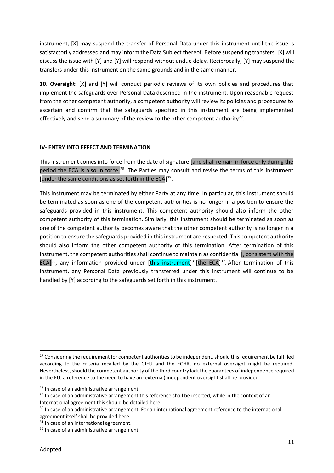instrument, [X] may suspend the transfer of Personal Data under this instrument until the issue is satisfactorily addressed and may inform the Data Subject thereof. Before suspending transfers, [X] will discuss the issue with [Y] and [Y] will respond without undue delay. Reciprocally, [Y] may suspend the transfers under this instrument on the same grounds and in the same manner.

**10. Oversight:** [X] and [Y] will conduct periodic reviews of its own policies and procedures that implement the safeguards over Personal Data described in the instrument. Upon reasonable request from the other competent authority, a competent authority will review its policies and procedures to ascertain and confirm that the safeguards specified in this instrument are being implemented effectively and send a summary of the review to the other competent authority<sup>27</sup>.

#### **IV- ENTRY INTO EFFECT AND TERMINATION**

This instrument comes into force from the date of signature [and shall remain in force only during the period the ECA is also in force]<sup>28</sup>. The Parties may consult and revise the terms of this instrument [under the same conditions as set forth in the  $ECA$ ]<sup>29</sup>.

This instrument may be terminated by either Party at any time. In particular, this instrument should be terminated as soon as one of the competent authorities is no longer in a position to ensure the safeguards provided in this instrument. This competent authority should also inform the other competent authority of this termination. Similarly, this instrument should be terminated as soon as one of the competent authority becomes aware that the other competent authority is no longer in a position to ensure the safeguards provided in this instrument are respected. This competent authority should also inform the other competent authority of this termination. After termination of this instrument, the competent authorities shall continue to maintain as confidential [, consistent with the ECA]<sup>30</sup>, any information provided under [this instrument]<sup>31</sup>[the ECA]<sup>32</sup>. After termination of this instrument, any Personal Data previously transferred under this instrument will continue to be handled by [Y] according to the safeguards set forth in this instrument.

1

<sup>&</sup>lt;sup>27</sup> Considering the requirement for competent authorities to be independent, should this requirement be fulfilled according to the criteria recalled by the CJEU and the ECHR, no external oversight might be required. Nevertheless, should the competent authority of the third country lack the guarantees of independence required in the EU, a reference to the need to have an (external) independent oversight shall be provided.

<sup>&</sup>lt;sup>28</sup> In case of an administrative arrangement.

<sup>&</sup>lt;sup>29</sup> In case of an administrative arrangement this reference shall be inserted, while in the context of an International agreement this should be detailed here.

<sup>&</sup>lt;sup>30</sup> In case of an administrative arrangement. For an international agreement reference to the international agreement itself shall be provided here.

<sup>&</sup>lt;sup>31</sup> In case of an international agreement.

 $32$  In case of an administrative arrangement.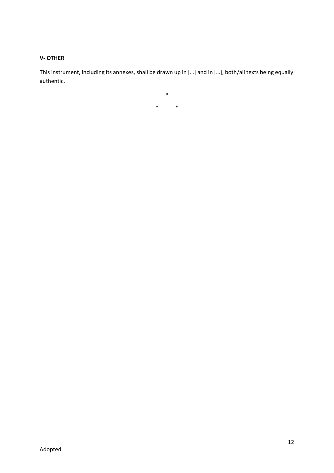#### **V- OTHER**

This instrument, including its annexes, shall be drawn up in […] and in […], both/all texts being equally authentic.

\* \*

\*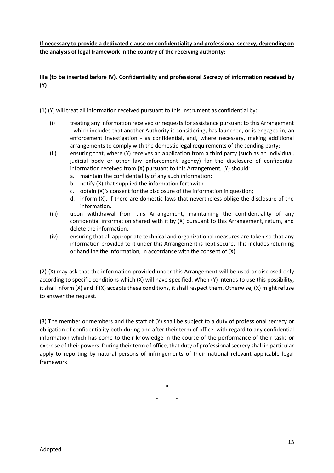**If necessary to provide a dedicated clause on confidentiality and professional secrecy, depending on the analysis of legal framework in the country of the receiving authority:**

## **IIIa (to be inserted before IV). Confidentiality and professional Secrecy of information received by (Y)**

(1) (Y) will treat all information received pursuant to this instrument as confidential by:

- (i) treating any information received or requests for assistance pursuant to this Arrangement - which includes that another Authority is considering, has launched, or is engaged in, an enforcement investigation - as confidential, and, where necessary, making additional arrangements to comply with the domestic legal requirements of the sending party;
- (ii) ensuring that, where (Y) receives an application from a third party (such as an individual, judicial body or other law enforcement agency) for the disclosure of confidential information received from (X) pursuant to this Arrangement, (Y) should:
	- a. maintain the confidentiality of any such information;
	- b. notify (X) that supplied the information forthwith
	- c. obtain (X)'s consent for the disclosure of the information in question;
	- d. inform (X), if there are domestic laws that nevertheless oblige the disclosure of the information.
- (iii) upon withdrawal from this Arrangement, maintaining the confidentiality of any confidential information shared with it by (X) pursuant to this Arrangement, return, and delete the information.
- (iv) ensuring that all appropriate technical and organizational measures are taken so that any information provided to it under this Arrangement is kept secure. This includes returning or handling the information, in accordance with the consent of (X).

(2) (X) may ask that the information provided under this Arrangement will be used or disclosed only according to specific conditions which (X) will have specified. When (Y) intends to use this possibility, it shall inform (X) and if (X) accepts these conditions, it shall respect them. Otherwise, (X) might refuse to answer the request.

(3) The member or members and the staff of (Y) shall be subject to a duty of professional secrecy or obligation of confidentiality both during and after their term of office, with regard to any confidential information which has come to their knowledge in the course of the performance of their tasks or exercise of their powers. During their term of office, that duty of professional secrecy shall in particular apply to reporting by natural persons of infringements of their national relevant applicable legal framework.

> \* \* \*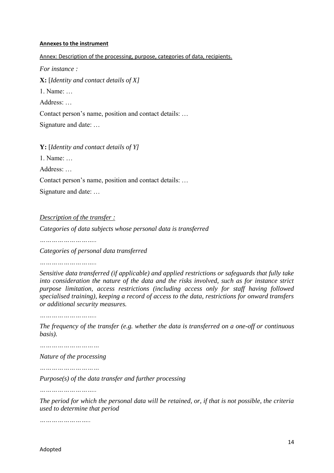#### **Annexes to the instrument**

Annex: Description of the processing, purpose, categories of data, recipients.

*For instance :*

**X:** [*Identity and contact details of X]* 

1. Name: …

Address: …

Contact person's name, position and contact details: …

Signature and date: …

**Y:** [*Identity and contact details of Y]*

1. Name: …

Address: …

Contact person's name, position and contact details: …

Signature and date: …

*Description of the transfer :*

*Categories of data subjects whose personal data is transferred*

*………………………..*

*Categories of personal data transferred*

*………………………..*

*Sensitive data transferred (if applicable) and applied restrictions or safeguards that fully take into consideration the nature of the data and the risks involved, such as for instance strict purpose limitation, access restrictions (including access only for staff having followed specialised training), keeping a record of access to the data, restrictions for onward transfers or additional security measures.*

*………………………..*

*The frequency of the transfer (e.g. whether the data is transferred on a one-off or continuous basis).*

*…………………………*

*Nature of the processing*

*…………………………*

*Purpose(s) of the data transfer and further processing*

*………………………..*

*The period for which the personal data will be retained, or, if that is not possible, the criteria used to determine that period* 

*……………………..*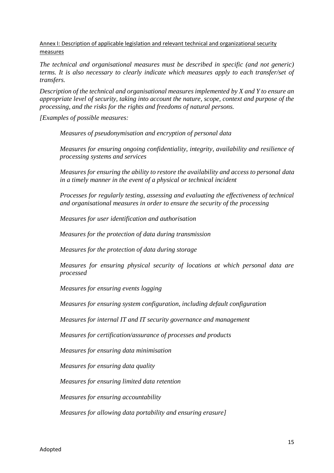Annex I: Description of applicable legislation and relevant technical and organizational security measures

*The technical and organisational measures must be described in specific (and not generic) terms. It is also necessary to clearly indicate which measures apply to each transfer/set of transfers.*

*Description of the technical and organisational measures implemented by X and Y to ensure an appropriate level of security, taking into account the nature, scope, context and purpose of the processing, and the risks for the rights and freedoms of natural persons.*

*[Examples of possible measures:*

*Measures of pseudonymisation and encryption of personal data*

*Measures for ensuring ongoing confidentiality, integrity, availability and resilience of processing systems and services*

*Measures for ensuring the ability to restore the availability and access to personal data in a timely manner in the event of a physical or technical incident*

*Processes for regularly testing, assessing and evaluating the effectiveness of technical and organisational measures in order to ensure the security of the processing*

*Measures for user identification and authorisation*

*Measures for the protection of data during transmission*

*Measures for the protection of data during storage*

*Measures for ensuring physical security of locations at which personal data are processed*

*Measures for ensuring events logging*

*Measures for ensuring system configuration, including default configuration*

*Measures for internal IT and IT security governance and management*

*Measures for certification/assurance of processes and products*

*Measures for ensuring data minimisation*

*Measures for ensuring data quality*

*Measures for ensuring limited data retention*

*Measures for ensuring accountability*

*Measures for allowing data portability and ensuring erasure]*